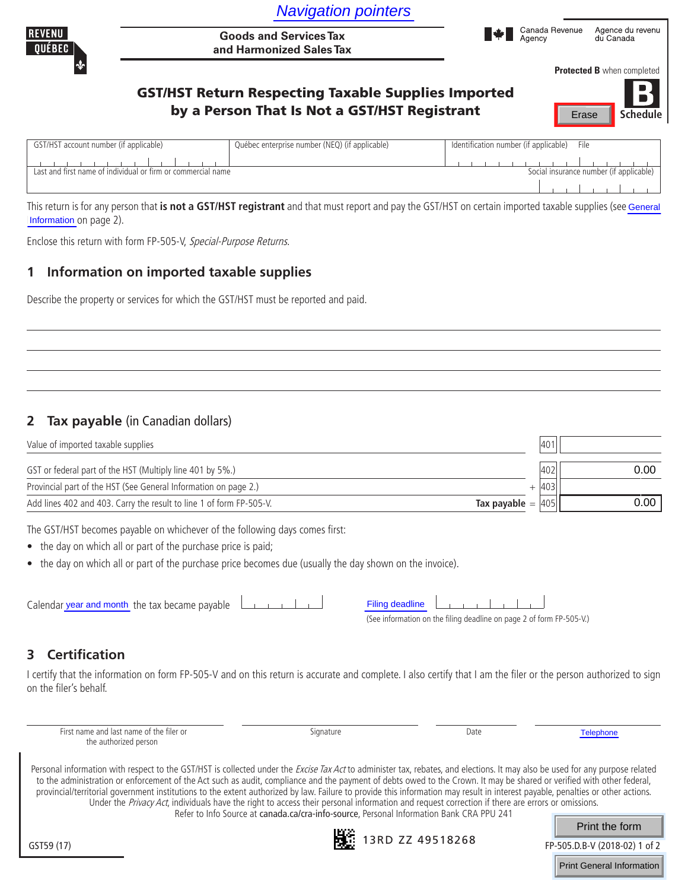| <b>Navigation pointers</b> |  |
|----------------------------|--|
|                            |  |



# GST/HST Return Respecting Taxable Supplies Imported **by a Person That Is Not a GST/HST Registrant** Frase Schedule



| GST/HST account number (if applicable)                       | Québec enterprise number (NEQ) (if applicable) | Identification number (if applicable) File |
|--------------------------------------------------------------|------------------------------------------------|--------------------------------------------|
|                                                              |                                                |                                            |
| Last and first name of individual or firm or commercial name |                                                | Social insurance number (if applicable)    |
|                                                              |                                                |                                            |

## **1 Information on imported taxable supplies**

## **2 Tax payable** (in Canadian dollars)

| Value of imported taxable supplies                                                     | 140 <sup>1</sup> |      |
|----------------------------------------------------------------------------------------|------------------|------|
| GST or federal part of the HST (Multiply line 401 by 5%.)                              | 402              | 0.00 |
| Provincial part of the HST (See General Information on page 2.)                        | 403 <sub>1</sub> |      |
| Add lines 402 and 403. Carry the result to line 1 of form FP-505-V.<br>Tax payable $=$ | 405              | 0.00 |

- the day on which all or part of the purchase price is paid;
- the day on which all or part of the purchase price becomes due (usually the day shown on the invoice).

| Filing deadline |  |  |  |  |  |
|-----------------|--|--|--|--|--|
|                 |  |  |  |  |  |

## **3 Certification**

|                                        |                                                                                                                                        | <b>Navigation pointers</b>                                                                                                                                                                                                                                                                                                                                                                                                                                                                                                                                                                                                                                                                                                                                                                |                        |                                                                      |                          |       |                                         |
|----------------------------------------|----------------------------------------------------------------------------------------------------------------------------------------|-------------------------------------------------------------------------------------------------------------------------------------------------------------------------------------------------------------------------------------------------------------------------------------------------------------------------------------------------------------------------------------------------------------------------------------------------------------------------------------------------------------------------------------------------------------------------------------------------------------------------------------------------------------------------------------------------------------------------------------------------------------------------------------------|------------------------|----------------------------------------------------------------------|--------------------------|-------|-----------------------------------------|
| <b>REVENU</b><br>QUÉBEC                |                                                                                                                                        | <b>Goods and Services Tax</b><br>and Harmonized Sales Tax                                                                                                                                                                                                                                                                                                                                                                                                                                                                                                                                                                                                                                                                                                                                 |                        |                                                                      | Canada Revenue<br>Agency |       | Agence du revenu<br>du Canada           |
|                                        |                                                                                                                                        |                                                                                                                                                                                                                                                                                                                                                                                                                                                                                                                                                                                                                                                                                                                                                                                           |                        |                                                                      |                          |       | Protected B when completed              |
|                                        |                                                                                                                                        | <b>GST/HST Return Respecting Taxable Supplies Imported</b>                                                                                                                                                                                                                                                                                                                                                                                                                                                                                                                                                                                                                                                                                                                                |                        |                                                                      |                          |       |                                         |
|                                        |                                                                                                                                        | by a Person That Is Not a GST/HST Registrant                                                                                                                                                                                                                                                                                                                                                                                                                                                                                                                                                                                                                                                                                                                                              |                        |                                                                      |                          | Erase | <b>Schedule</b>                         |
| GST/HST account number (if applicable) |                                                                                                                                        | Québec enterprise number (NEQ) (if applicable)                                                                                                                                                                                                                                                                                                                                                                                                                                                                                                                                                                                                                                                                                                                                            |                        | Identification number (if applicable)                                |                          | File  |                                         |
|                                        | <u>Land and first name of individual or firm or commercial name</u>                                                                    |                                                                                                                                                                                                                                                                                                                                                                                                                                                                                                                                                                                                                                                                                                                                                                                           |                        |                                                                      |                          |       | Social insurance number (if applicable) |
|                                        |                                                                                                                                        | This return is for any person that is not a GST/HST registrant and that must report and pay the GST/HST on certain imported taxable supplies (see General                                                                                                                                                                                                                                                                                                                                                                                                                                                                                                                                                                                                                                 |                        |                                                                      |                          |       |                                         |
| Information on page 2).                |                                                                                                                                        |                                                                                                                                                                                                                                                                                                                                                                                                                                                                                                                                                                                                                                                                                                                                                                                           |                        |                                                                      |                          |       |                                         |
|                                        | Enclose this return with form FP-505-V, Special-Purpose Returns.                                                                       |                                                                                                                                                                                                                                                                                                                                                                                                                                                                                                                                                                                                                                                                                                                                                                                           |                        |                                                                      |                          |       |                                         |
| 1                                      | Information on imported taxable supplies                                                                                               |                                                                                                                                                                                                                                                                                                                                                                                                                                                                                                                                                                                                                                                                                                                                                                                           |                        |                                                                      |                          |       |                                         |
|                                        |                                                                                                                                        | Describe the property or services for which the GST/HST must be reported and paid.                                                                                                                                                                                                                                                                                                                                                                                                                                                                                                                                                                                                                                                                                                        |                        |                                                                      |                          |       |                                         |
|                                        |                                                                                                                                        |                                                                                                                                                                                                                                                                                                                                                                                                                                                                                                                                                                                                                                                                                                                                                                                           |                        |                                                                      |                          |       |                                         |
|                                        |                                                                                                                                        |                                                                                                                                                                                                                                                                                                                                                                                                                                                                                                                                                                                                                                                                                                                                                                                           |                        |                                                                      |                          |       |                                         |
|                                        |                                                                                                                                        |                                                                                                                                                                                                                                                                                                                                                                                                                                                                                                                                                                                                                                                                                                                                                                                           |                        |                                                                      |                          |       |                                         |
|                                        |                                                                                                                                        |                                                                                                                                                                                                                                                                                                                                                                                                                                                                                                                                                                                                                                                                                                                                                                                           |                        |                                                                      |                          |       |                                         |
|                                        |                                                                                                                                        |                                                                                                                                                                                                                                                                                                                                                                                                                                                                                                                                                                                                                                                                                                                                                                                           |                        |                                                                      |                          |       |                                         |
|                                        | Tax payable (in Canadian dollars)                                                                                                      |                                                                                                                                                                                                                                                                                                                                                                                                                                                                                                                                                                                                                                                                                                                                                                                           |                        |                                                                      |                          |       |                                         |
| Value of imported taxable supplies     |                                                                                                                                        |                                                                                                                                                                                                                                                                                                                                                                                                                                                                                                                                                                                                                                                                                                                                                                                           |                        |                                                                      | 401                      |       |                                         |
|                                        | GST or federal part of the HST (Multiply line 401 by 5%.)                                                                              |                                                                                                                                                                                                                                                                                                                                                                                                                                                                                                                                                                                                                                                                                                                                                                                           |                        |                                                                      | 402                      |       | 0.00                                    |
|                                        | Provincial part of the HST (See General Information on page 2.)<br>Add lines 402 and 403. Carry the result to line 1 of form FP-505-V. |                                                                                                                                                                                                                                                                                                                                                                                                                                                                                                                                                                                                                                                                                                                                                                                           |                        | Tax payable $=$ 405                                                  | 403<br>$^{+}$            |       | 0.00                                    |
|                                        |                                                                                                                                        | The GST/HST becomes payable on whichever of the following days comes first:                                                                                                                                                                                                                                                                                                                                                                                                                                                                                                                                                                                                                                                                                                               |                        |                                                                      |                          |       |                                         |
|                                        | • the day on which all or part of the purchase price is paid;                                                                          |                                                                                                                                                                                                                                                                                                                                                                                                                                                                                                                                                                                                                                                                                                                                                                                           |                        |                                                                      |                          |       |                                         |
|                                        |                                                                                                                                        | the day on which all or part of the purchase price becomes due (usually the day shown on the invoice).                                                                                                                                                                                                                                                                                                                                                                                                                                                                                                                                                                                                                                                                                    |                        |                                                                      |                          |       |                                         |
|                                        |                                                                                                                                        |                                                                                                                                                                                                                                                                                                                                                                                                                                                                                                                                                                                                                                                                                                                                                                                           |                        |                                                                      |                          |       |                                         |
|                                        | Calendar year and month the tax became payable                                                                                         |                                                                                                                                                                                                                                                                                                                                                                                                                                                                                                                                                                                                                                                                                                                                                                                           | <b>Filing deadline</b> |                                                                      |                          |       |                                         |
|                                        |                                                                                                                                        |                                                                                                                                                                                                                                                                                                                                                                                                                                                                                                                                                                                                                                                                                                                                                                                           |                        | (See information on the filing deadline on page 2 of form FP-505-V.) |                          |       |                                         |
| <b>Certification</b><br>3.             |                                                                                                                                        |                                                                                                                                                                                                                                                                                                                                                                                                                                                                                                                                                                                                                                                                                                                                                                                           |                        |                                                                      |                          |       |                                         |
| on the filer's behalf.                 |                                                                                                                                        | I certify that the information on form FP-505-V and on this return is accurate and complete. I also certify that I am the filer or the person authorized to sign                                                                                                                                                                                                                                                                                                                                                                                                                                                                                                                                                                                                                          |                        |                                                                      |                          |       |                                         |
|                                        |                                                                                                                                        |                                                                                                                                                                                                                                                                                                                                                                                                                                                                                                                                                                                                                                                                                                                                                                                           |                        |                                                                      |                          |       |                                         |
|                                        | First name and last name of the filer or<br>the authorized person                                                                      | Signature                                                                                                                                                                                                                                                                                                                                                                                                                                                                                                                                                                                                                                                                                                                                                                                 |                        | Date                                                                 |                          |       | <b>Telephone</b>                        |
|                                        |                                                                                                                                        | Personal information with respect to the GST/HST is collected under the Excise Tax Act to administer tax, rebates, and elections. It may also be used for any purpose related<br>to the administration or enforcement of the Act such as audit, compliance and the payment of debts owed to the Crown. It may be shared or verified with other federal,<br>provincial/territorial government institutions to the extent authorized by law. Failure to provide this information may result in interest payable, penalties or other actions.<br>Under the Privacy Act, individuals have the right to access their personal information and request correction if there are errors or omissions.<br>Refer to Info Source at canada.ca/cra-info-source, Personal Information Bank CRA PPU 241 |                        |                                                                      |                          |       |                                         |
|                                        |                                                                                                                                        |                                                                                                                                                                                                                                                                                                                                                                                                                                                                                                                                                                                                                                                                                                                                                                                           | 13RD ZZ 49518268       |                                                                      |                          |       | Print the form                          |
| GST59 (17)                             |                                                                                                                                        |                                                                                                                                                                                                                                                                                                                                                                                                                                                                                                                                                                                                                                                                                                                                                                                           |                        |                                                                      |                          |       | FP-505.D.B-V (2018-02) 1 of 2           |
|                                        |                                                                                                                                        |                                                                                                                                                                                                                                                                                                                                                                                                                                                                                                                                                                                                                                                                                                                                                                                           |                        |                                                                      |                          |       | <b>Print General Information</b>        |